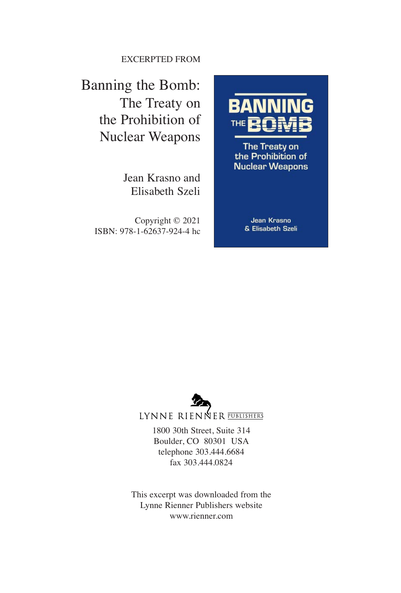EXCERPTED FROM

### Banning the Bomb: The Treaty on the Prohibition of Nuclear Weapons

Jean Krasno and Elisabeth Szeli

Copyright © 2021 ISBN: 978-1-62637-924-4 hc



The Treaty on the Prohibition of **Nuclear Weapons** 

> Jean Krasno & Elisabeth Szeli



LYNNE RIENNER PUBLISHERS

1800 30th Street, Suite 314 Boulder, CO 80301 USA telephone 303.444.6684 fax 303.444.0824

This excerpt was downloaded from the Lynne Rienner Publishers website www.rienner.com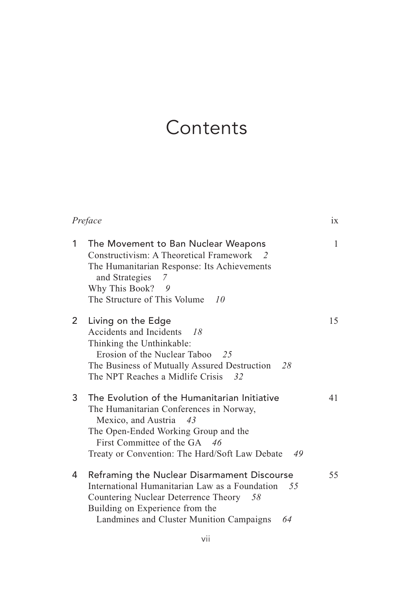## **Contents**

| Preface               |                                                                                                                                                                                                                                                      | ix |
|-----------------------|------------------------------------------------------------------------------------------------------------------------------------------------------------------------------------------------------------------------------------------------------|----|
| 1                     | The Movement to Ban Nuclear Weapons<br>Constructivism: A Theoretical Framework 2<br>The Humanitarian Response: Its Achievements<br>and Strategies<br>7<br>Why This Book? 9<br>The Structure of This Volume<br>10                                     | 1  |
| $\mathbf{2}^{\prime}$ | Living on the Edge<br>Accidents and Incidents<br>- 18<br>Thinking the Unthinkable:<br>Erosion of the Nuclear Taboo 25<br>The Business of Mutually Assured Destruction<br>-28<br>The NPT Reaches a Midlife Crisis 32                                  | 15 |
| 3                     | The Evolution of the Humanitarian Initiative<br>The Humanitarian Conferences in Norway,<br>Mexico, and Austria<br>43<br>The Open-Ended Working Group and the<br>First Committee of the GA 46<br>Treaty or Convention: The Hard/Soft Law Debate<br>49 | 41 |
| 4                     | Reframing the Nuclear Disarmament Discourse<br>International Humanitarian Law as a Foundation 55<br>Countering Nuclear Deterrence Theory 58<br>Building on Experience from the<br>Landmines and Cluster Munition Campaigns<br>64                     | 55 |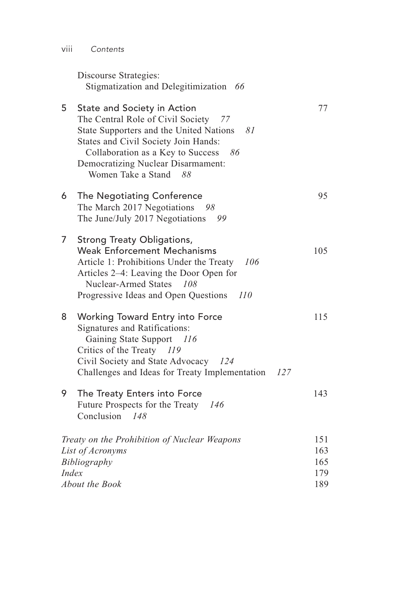| VIII | Contents |
|------|----------|

|              | Discourse Strategies:<br>Stigmatization and Delegitimization 66                                                                                                                                                                                                                       |                                 |
|--------------|---------------------------------------------------------------------------------------------------------------------------------------------------------------------------------------------------------------------------------------------------------------------------------------|---------------------------------|
| 5            | State and Society in Action<br>The Central Role of Civil Society<br>77<br>State Supporters and the United Nations<br>- 81<br>States and Civil Society Join Hands:<br>Collaboration as a Key to Success<br>86<br><b>Democratizing Nuclear Disarmament:</b><br>Women Take a Stand<br>88 | 77                              |
| 6            | The Negotiating Conference<br>The March 2017 Negotiations<br>98<br>The June/July 2017 Negotiations<br>99                                                                                                                                                                              | 95                              |
| 7            | <b>Strong Treaty Obligations,</b><br><b>Weak Enforcement Mechanisms</b><br>Article 1: Prohibitions Under the Treaty<br>106<br>Articles 2–4: Leaving the Door Open for<br><b>Nuclear-Armed States</b><br>108<br>Progressive Ideas and Open Questions<br>110                            | 105                             |
| 8            | Working Toward Entry into Force<br>Signatures and Ratifications:<br>Gaining State Support<br>- 116<br>Critics of the Treaty<br>119<br>Civil Society and State Advocacy<br>124<br>Challenges and Ideas for Treaty Implementation<br>127                                                | 115                             |
| 9            | The Treaty Enters into Force<br>Future Prospects for the Treaty 146<br>Conclusion<br>148                                                                                                                                                                                              | 143                             |
| <i>Index</i> | Treaty on the Prohibition of Nuclear Weapons<br>List of Acronyms<br>Bibliography<br>About the Book                                                                                                                                                                                    | 151<br>163<br>165<br>179<br>189 |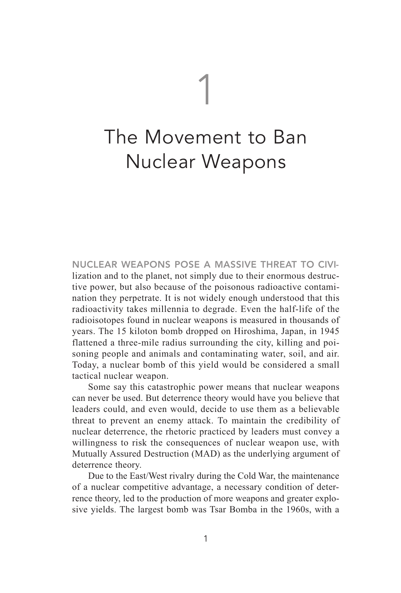# 1

## The Movement to Ban Nuclear Weapons

**NUCLEAR WEAPONS POSE A MASSIVE THREAT TO CIVI**lization and to the planet, not simply due to their enormous destructive power, but also because of the poisonous radioactive contamination they perpetrate. It is not widely enough understood that this radioactivity takes millennia to degrade. Even the half-life of the radioisotopes found in nuclear weapons is measured in thousands of years. The 15 kiloton bomb dropped on Hiroshima, Japan, in 1945 flattened a three-mile radius surrounding the city, killing and poisoning people and animals and contaminating water, soil, and air. Today, a nuclear bomb of this yield would be considered a small tactical nuclear weapon.

Some say this catastrophic power means that nuclear weapons can never be used. But deterrence theory would have you believe that leaders could, and even would, decide to use them as a believable threat to prevent an enemy attack. To maintain the credibility of nuclear deterrence, the rhetoric practiced by leaders must convey a willingness to risk the consequences of nuclear weapon use, with Mutually Assured Destruction (MAD) as the underlying argument of deterrence theory.

Due to the East/West rivalry during the Cold War, the maintenance of a nuclear competitive advantage, a necessary condition of deterrence theory, led to the production of more weapons and greater explosive yields. The largest bomb was Tsar Bomba in the 1960s, with a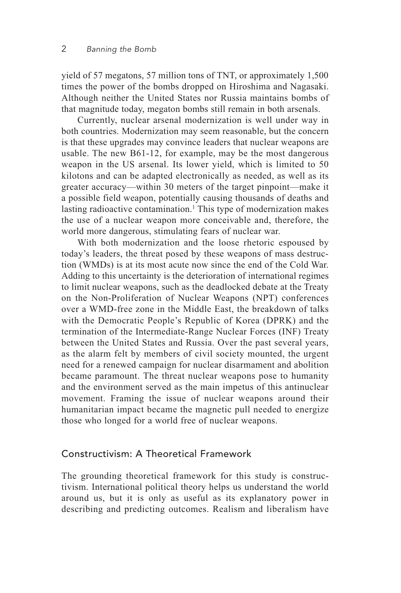yield of 57 megatons, 57 million tons of TNT, or approximately 1,500 times the power of the bombs dropped on Hiroshima and Nagasaki. Although neither the United States nor Russia maintains bombs of that magnitude today, megaton bombs still remain in both arsenals.

Currently, nuclear arsenal modernization is well under way in both countries. Modernization may seem reasonable, but the concern is that these upgrades may convince leaders that nuclear weapons are usable. The new B61-12, for example, may be the most dangerous weapon in the US arsenal. Its lower yield, which is limited to 50 kilotons and can be adapted electronically as needed, as well as its greater accuracy—within 30 meters of the target pinpoint—make it a possible field weapon, potentially causing thousands of deaths and lasting radioactive contamination.<sup>1</sup> This type of modernization makes the use of a nuclear weapon more conceivable and, therefore, the world more dangerous, stimulating fears of nuclear war.

With both modernization and the loose rhetoric espoused by today's leaders, the threat posed by these weapons of mass destruction (WMDs) is at its most acute now since the end of the Cold War. Adding to this uncertainty is the deterioration of international regimes to limit nuclear weapons, such as the deadlocked debate at the Treaty on the Non-Proliferation of Nuclear Weapons (NPT) conferences over a WMD-free zone in the Middle East, the breakdown of talks with the Democratic People's Republic of Korea (DPRK) and the termination of the Intermediate-Range Nuclear Forces (INF) Treaty between the United States and Russia. Over the past several years, as the alarm felt by members of civil society mounted, the urgent need for a renewed campaign for nuclear disarmament and abolition became paramount. The threat nuclear weapons pose to humanity and the environment served as the main impetus of this antinuclear movement. Framing the issue of nuclear weapons around their humanitarian impact became the magnetic pull needed to energize those who longed for a world free of nuclear weapons.

#### Constructivism: A Theoretical Framework

The grounding theoretical framework for this study is constructivism. International political theory helps us understand the world around us, but it is only as useful as its explanatory power in describing and predicting outcomes. Realism and liberalism have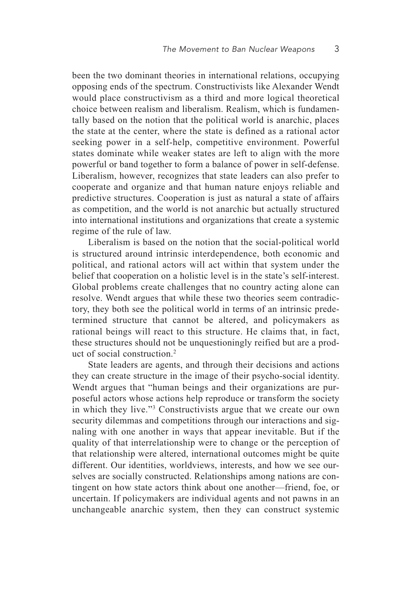been the two dominant theories in international relations, occupying opposing ends of the spectrum. Constructivists like Alexander Wendt would place constructivism as a third and more logical theoretical choice between realism and liberalism. Realism, which is fundamentally based on the notion that the political world is anarchic, places the state at the center, where the state is defined as a rational actor seeking power in a self-help, competitive environment. Powerful states dominate while weaker states are left to align with the more powerful or band together to form a balance of power in self-defense. Liberalism, however, recognizes that state leaders can also prefer to cooperate and organize and that human nature enjoys reliable and predictive structures. Cooperation is just as natural a state of affairs as competition, and the world is not anarchic but actually structured into international institutions and organizations that create a systemic regime of the rule of law.

Liberalism is based on the notion that the social-political world is structured around intrinsic interdependence, both economic and political, and rational actors will act within that system under the belief that cooperation on a holistic level is in the state's self-interest. Global problems create challenges that no country acting alone can resolve. Wendt argues that while these two theories seem contradictory, they both see the political world in terms of an intrinsic predetermined structure that cannot be altered, and policymakers as rational beings will react to this structure. He claims that, in fact, these structures should not be unquestioningly reified but are a product of social construction.2

State leaders are agents, and through their decisions and actions they can create structure in the image of their psycho-social identity. Wendt argues that "human beings and their organizations are purposeful actors whose actions help reproduce or transform the society in which they live."3 Constructivists argue that we create our own security dilemmas and competitions through our interactions and signaling with one another in ways that appear inevitable. But if the quality of that interrelationship were to change or the perception of that relationship were altered, international outcomes might be quite different. Our identities, worldviews, interests, and how we see ourselves are socially constructed. Relationships among nations are contingent on how state actors think about one another—friend, foe, or uncertain. If policymakers are individual agents and not pawns in an unchangeable anarchic system, then they can construct systemic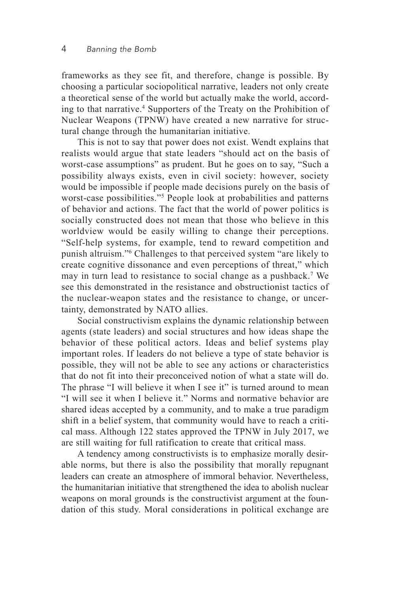frameworks as they see fit, and therefore, change is possible. By choosing a particular sociopolitical narrative, leaders not only create a theoretical sense of the world but actually make the world, according to that narrative.4 Supporters of the Treaty on the Prohibition of Nuclear Weapons (TPNW) have created a new narrative for structural change through the humanitarian initiative.

This is not to say that power does not exist. Wendt explains that realists would argue that state leaders "should act on the basis of worst-case assumptions" as prudent. But he goes on to say, "Such a possibility always exists, even in civil society: however, society would be impossible if people made decisions purely on the basis of worst-case possibilities."5 People look at probabilities and patterns of behavior and actions. The fact that the world of power politics is socially constructed does not mean that those who believe in this worldview would be easily willing to change their perceptions. "Self-help systems, for example, tend to reward competition and punish altruism."6 Challenges to that perceived system "are likely to create cognitive dissonance and even perceptions of threat," which may in turn lead to resistance to social change as a pushback.7 We see this demonstrated in the resistance and obstructionist tactics of the nuclear-weapon states and the resistance to change, or uncertainty, demonstrated by NATO allies.

Social constructivism explains the dynamic relationship between agents (state leaders) and social structures and how ideas shape the behavior of these political actors. Ideas and belief systems play important roles. If leaders do not believe a type of state behavior is possible, they will not be able to see any actions or characteristics that do not fit into their preconceived notion of what a state will do. The phrase "I will believe it when I see it" is turned around to mean "I will see it when I believe it." Norms and normative behavior are shared ideas accepted by a community, and to make a true paradigm shift in a belief system, that community would have to reach a critical mass. Although 122 states approved the TPNW in July 2017, we are still waiting for full ratification to create that critical mass.

A tendency among constructivists is to emphasize morally desirable norms, but there is also the possibility that morally repugnant leaders can create an atmosphere of immoral behavior. Nevertheless, the humanitarian initiative that strengthened the idea to abolish nuclear weapons on moral grounds is the constructivist argument at the foundation of this study. Moral considerations in political exchange are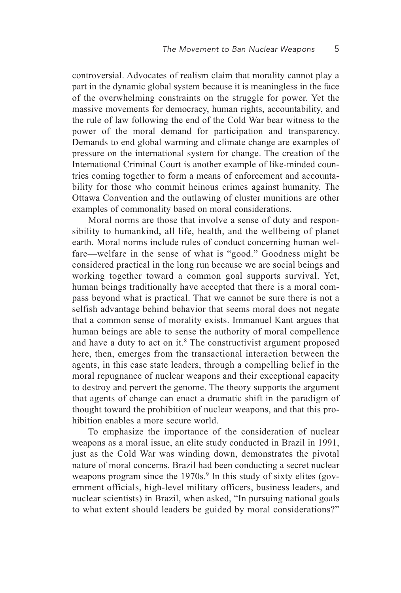controversial. Advocates of realism claim that morality cannot play a part in the dynamic global system because it is meaningless in the face of the overwhelming constraints on the struggle for power. Yet the massive movements for democracy, human rights, accountability, and the rule of law following the end of the Cold War bear witness to the power of the moral demand for participation and transparency. Demands to end global warming and climate change are examples of pressure on the international system for change. The creation of the International Criminal Court is another example of like-minded countries coming together to form a means of enforcement and accountability for those who commit heinous crimes against humanity. The Ottawa Convention and the outlawing of cluster munitions are other examples of commonality based on moral considerations.

Moral norms are those that involve a sense of duty and responsibility to humankind, all life, health, and the wellbeing of planet earth. Moral norms include rules of conduct concerning human welfare—welfare in the sense of what is "good." Goodness might be considered practical in the long run because we are social beings and working together toward a common goal supports survival. Yet, human beings traditionally have accepted that there is a moral compass beyond what is practical. That we cannot be sure there is not a selfish advantage behind behavior that seems moral does not negate that a common sense of morality exists. Immanuel Kant argues that human beings are able to sense the authority of moral compellence and have a duty to act on it.<sup>8</sup> The constructivist argument proposed here, then, emerges from the transactional interaction between the agents, in this case state leaders, through a compelling belief in the moral repugnance of nuclear weapons and their exceptional capacity to destroy and pervert the genome. The theory supports the argument that agents of change can enact a dramatic shift in the paradigm of thought toward the prohibition of nuclear weapons, and that this prohibition enables a more secure world.

To emphasize the importance of the consideration of nuclear weapons as a moral issue, an elite study conducted in Brazil in 1991, just as the Cold War was winding down, demonstrates the pivotal nature of moral concerns. Brazil had been conducting a secret nuclear weapons program since the 1970s.<sup>9</sup> In this study of sixty elites (government officials, high-level military officers, business leaders, and nuclear scientists) in Brazil, when asked, "In pursuing national goals to what extent should leaders be guided by moral considerations?"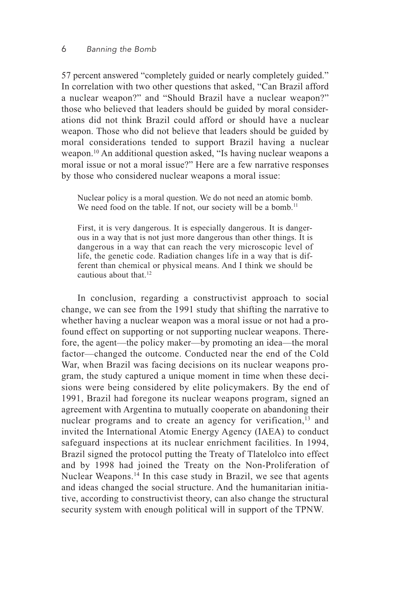#### 6 *Banning the Bomb*

57 percent answered "completely guided or nearly completely guided." In correlation with two other questions that asked, "Can Brazil afford a nuclear weapon?" and "Should Brazil have a nuclear weapon?" those who believed that leaders should be guided by moral considerations did not think Brazil could afford or should have a nuclear weapon. Those who did not believe that leaders should be guided by moral considerations tended to support Brazil having a nuclear weapon.10 An additional question asked, "Is having nuclear weapons a moral issue or not a moral issue?" Here are a few narrative responses by those who considered nuclear weapons a moral issue:

Nuclear policy is a moral question. We do not need an atomic bomb. We need food on the table. If not, our society will be a bomb.<sup>11</sup>

First, it is very dangerous. It is especially dangerous. It is dangerous in a way that is not just more dangerous than other things. It is dangerous in a way that can reach the very microscopic level of life, the genetic code. Radiation changes life in a way that is different than chemical or physical means. And I think we should be cautious about that.12

In conclusion, regarding a constructivist approach to social change, we can see from the 1991 study that shifting the narrative to whether having a nuclear weapon was a moral issue or not had a profound effect on supporting or not supporting nuclear weapons. Therefore, the agent—the policy maker—by promoting an idea—the moral factor—changed the outcome. Conducted near the end of the Cold War, when Brazil was facing decisions on its nuclear weapons program, the study captured a unique moment in time when these decisions were being considered by elite policymakers. By the end of 1991, Brazil had foregone its nuclear weapons program, signed an agreement with Argentina to mutually cooperate on abandoning their nuclear programs and to create an agency for verification,<sup>13</sup> and invited the International Atomic Energy Agency (IAEA) to conduct safeguard inspections at its nuclear enrichment facilities. In 1994, Brazil signed the protocol putting the Treaty of Tlatelolco into effect and by 1998 had joined the Treaty on the Non-Proliferation of Nuclear Weapons.<sup>14</sup> In this case study in Brazil, we see that agents and ideas changed the social structure. And the humanitarian initiative, according to constructivist theory, can also change the structural security system with enough political will in support of the TPNW.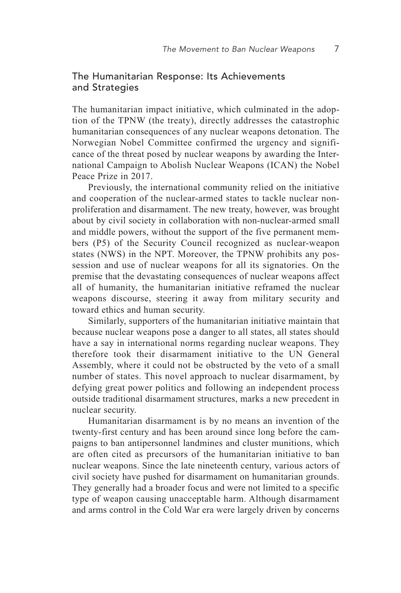#### The Humanitarian Response: Its Achievements and Strategies

The humanitarian impact initiative, which culminated in the adoption of the TPNW (the treaty), directly addresses the catastrophic humanitarian consequences of any nuclear weapons detonation. The Norwegian Nobel Committee confirmed the urgency and significance of the threat posed by nuclear weapons by awarding the International Campaign to Abolish Nuclear Weapons (ICAN) the Nobel Peace Prize in 2017.

Previously, the international community relied on the initiative and cooperation of the nuclear-armed states to tackle nuclear nonproliferation and disarmament. The new treaty, however, was brought about by civil society in collaboration with non-nuclear-armed small and middle powers, without the support of the five permanent members (P5) of the Security Council recognized as nuclear-weapon states (NWS) in the NPT. Moreover, the TPNW prohibits any possession and use of nuclear weapons for all its signatories. On the premise that the devastating consequences of nuclear weapons affect all of humanity, the humanitarian initiative reframed the nuclear weapons discourse, steering it away from military security and toward ethics and human security.

Similarly, supporters of the humanitarian initiative maintain that because nuclear weapons pose a danger to all states, all states should have a say in international norms regarding nuclear weapons. They therefore took their disarmament initiative to the UN General Assembly, where it could not be obstructed by the veto of a small number of states. This novel approach to nuclear disarmament, by defying great power politics and following an independent process outside traditional disarmament structures, marks a new precedent in nuclear security.

Humanitarian disarmament is by no means an invention of the twenty-first century and has been around since long before the campaigns to ban antipersonnel landmines and cluster munitions, which are often cited as precursors of the humanitarian initiative to ban nuclear weapons. Since the late nineteenth century, various actors of civil society have pushed for disarmament on humanitarian grounds. They generally had a broader focus and were not limited to a specific type of weapon causing unacceptable harm. Although disarmament and arms control in the Cold War era were largely driven by concerns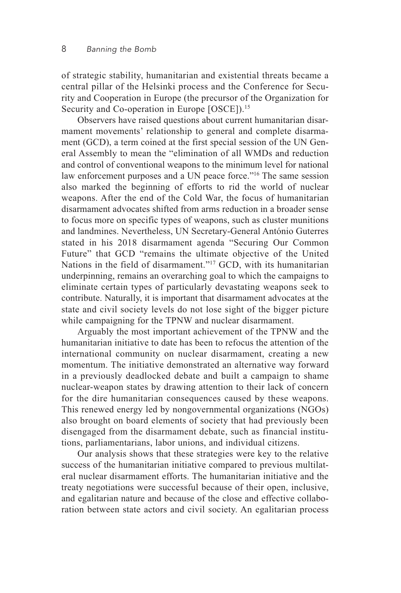of strategic stability, humanitarian and existential threats became a central pillar of the Helsinki process and the Conference for Security and Cooperation in Europe (the precursor of the Organization for Security and Co-operation in Europe [OSCE]).<sup>15</sup>

Observers have raised questions about current humanitarian disarmament movements' relationship to general and complete disarmament (GCD), a term coined at the first special session of the UN General Assembly to mean the "elimination of all WMDs and reduction and control of conventional weapons to the minimum level for national law enforcement purposes and a UN peace force."<sup>16</sup> The same session also marked the beginning of efforts to rid the world of nuclear weapons. After the end of the Cold War, the focus of humanitarian disarmament advocates shifted from arms reduction in a broader sense to focus more on specific types of weapons, such as cluster munitions and landmines. Nevertheless, UN Secretary-General António Guterres stated in his 2018 disarmament agenda "Securing Our Common Future" that GCD "remains the ultimate objective of the United Nations in the field of disarmament."<sup>17</sup> GCD, with its humanitarian underpinning, remains an overarching goal to which the campaigns to eliminate certain types of particularly devastating weapons seek to contribute. Naturally, it is important that disarmament advocates at the state and civil society levels do not lose sight of the bigger picture while campaigning for the TPNW and nuclear disarmament.

Arguably the most important achievement of the TPNW and the humanitarian initiative to date has been to refocus the attention of the international community on nuclear disarmament, creating a new momentum. The initiative demonstrated an alternative way forward in a previously deadlocked debate and built a campaign to shame nuclear-weapon states by drawing attention to their lack of concern for the dire humanitarian consequences caused by these weapons. This renewed energy led by nongovernmental organizations (NGOs) also brought on board elements of society that had previously been disengaged from the disarmament debate, such as financial institutions, parliamentarians, labor unions, and individual citizens.

Our analysis shows that these strategies were key to the relative success of the humanitarian initiative compared to previous multilateral nuclear disarmament efforts. The humanitarian initiative and the treaty negotiations were successful because of their open, inclusive, and egalitarian nature and because of the close and effective collaboration between state actors and civil society. An egalitarian process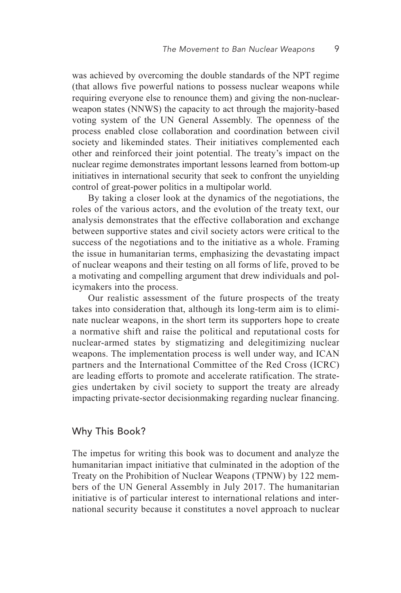was achieved by overcoming the double standards of the NPT regime (that allows five powerful nations to possess nuclear weapons while requiring everyone else to renounce them) and giving the non-nuclearweapon states (NNWS) the capacity to act through the majority-based voting system of the UN General Assembly. The openness of the process enabled close collaboration and coordination between civil society and likeminded states. Their initiatives complemented each other and reinforced their joint potential. The treaty's impact on the nuclear regime demonstrates important lessons learned from bottom-up initiatives in international security that seek to confront the unyielding control of great-power politics in a multipolar world.

By taking a closer look at the dynamics of the negotiations, the roles of the various actors, and the evolution of the treaty text, our analysis demonstrates that the effective collaboration and exchange between supportive states and civil society actors were critical to the success of the negotiations and to the initiative as a whole. Framing the issue in humanitarian terms, emphasizing the devastating impact of nuclear weapons and their testing on all forms of life, proved to be a motivating and compelling argument that drew individuals and policymakers into the process.

Our realistic assessment of the future prospects of the treaty takes into consideration that, although its long-term aim is to eliminate nuclear weapons, in the short term its supporters hope to create a normative shift and raise the political and reputational costs for nuclear-armed states by stigmatizing and delegitimizing nuclear weapons. The implementation process is well under way, and ICAN partners and the International Committee of the Red Cross (ICRC) are leading efforts to promote and accelerate ratification. The strategies undertaken by civil society to support the treaty are already impacting private-sector decisionmaking regarding nuclear financing.

#### Why This Book?

The impetus for writing this book was to document and analyze the humanitarian impact initiative that culminated in the adoption of the Treaty on the Prohibition of Nuclear Weapons (TPNW) by 122 members of the UN General Assembly in July 2017. The humanitarian initiative is of particular interest to international relations and international security because it constitutes a novel approach to nuclear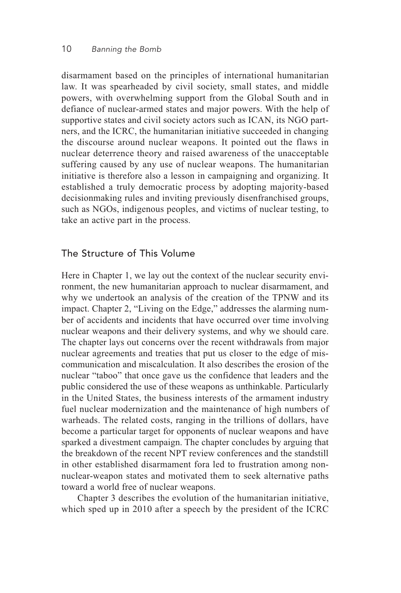#### 10 *Banning the Bomb*

disarmament based on the principles of international humanitarian law. It was spearheaded by civil society, small states, and middle powers, with overwhelming support from the Global South and in defiance of nuclear-armed states and major powers. With the help of supportive states and civil society actors such as ICAN, its NGO partners, and the ICRC, the humanitarian initiative succeeded in changing the discourse around nuclear weapons. It pointed out the flaws in nuclear deterrence theory and raised awareness of the unacceptable suffering caused by any use of nuclear weapons. The humanitarian initiative is therefore also a lesson in campaigning and organizing. It established a truly democratic process by adopting majority-based decisionmaking rules and inviting previously disenfranchised groups, such as NGOs, indigenous peoples, and victims of nuclear testing, to take an active part in the process.

#### The Structure of This Volume

Here in Chapter 1, we lay out the context of the nuclear security environment, the new humanitarian approach to nuclear disarmament, and why we undertook an analysis of the creation of the TPNW and its impact. Chapter 2, "Living on the Edge," addresses the alarming number of accidents and incidents that have occurred over time involving nuclear weapons and their delivery systems, and why we should care. The chapter lays out concerns over the recent withdrawals from major nuclear agreements and treaties that put us closer to the edge of miscommunication and miscalculation. It also describes the erosion of the nuclear "taboo" that once gave us the confidence that leaders and the public considered the use of these weapons as unthinkable. Particularly in the United States, the business interests of the armament industry fuel nuclear modernization and the maintenance of high numbers of warheads. The related costs, ranging in the trillions of dollars, have become a particular target for opponents of nuclear weapons and have sparked a divestment campaign. The chapter concludes by arguing that the breakdown of the recent NPT review conferences and the standstill in other established disarmament fora led to frustration among nonnuclear-weapon states and motivated them to seek alternative paths toward a world free of nuclear weapons.

Chapter 3 describes the evolution of the humanitarian initiative, which sped up in 2010 after a speech by the president of the ICRC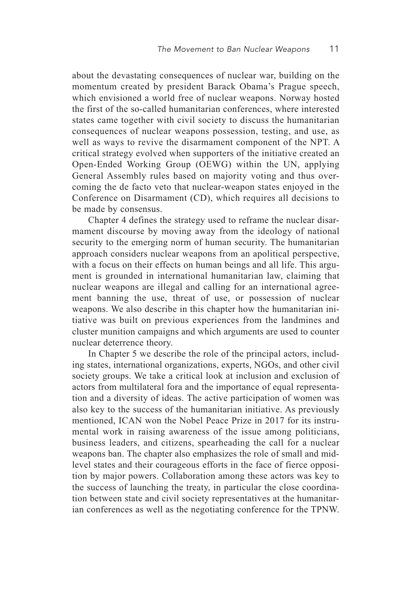about the devastating consequences of nuclear war, building on the momentum created by president Barack Obama's Prague speech, which envisioned a world free of nuclear weapons. Norway hosted the first of the so-called humanitarian conferences, where interested states came together with civil society to discuss the humanitarian consequences of nuclear weapons possession, testing, and use, as well as ways to revive the disarmament component of the NPT. A critical strategy evolved when supporters of the initiative created an Open-Ended Working Group (OEWG) within the UN, applying General Assembly rules based on majority voting and thus overcoming the de facto veto that nuclear-weapon states enjoyed in the Conference on Disarmament (CD), which requires all decisions to be made by consensus.

Chapter 4 defines the strategy used to reframe the nuclear disarmament discourse by moving away from the ideology of national security to the emerging norm of human security. The humanitarian approach considers nuclear weapons from an apolitical perspective, with a focus on their effects on human beings and all life. This argument is grounded in international humanitarian law, claiming that nuclear weapons are illegal and calling for an international agreement banning the use, threat of use, or possession of nuclear weapons. We also describe in this chapter how the humanitarian initiative was built on previous experiences from the landmines and cluster munition campaigns and which arguments are used to counter nuclear deterrence theory.

In Chapter 5 we describe the role of the principal actors, including states, international organizations, experts, NGOs, and other civil society groups. We take a critical look at inclusion and exclusion of actors from multilateral fora and the importance of equal representation and a diversity of ideas. The active participation of women was also key to the success of the humanitarian initiative. As previously mentioned, ICAN won the Nobel Peace Prize in 2017 for its instrumental work in raising awareness of the issue among politicians, business leaders, and citizens, spearheading the call for a nuclear weapons ban. The chapter also emphasizes the role of small and midlevel states and their courageous efforts in the face of fierce opposition by major powers. Collaboration among these actors was key to the success of launching the treaty, in particular the close coordination between state and civil society representatives at the humanitarian conferences as well as the negotiating conference for the TPNW.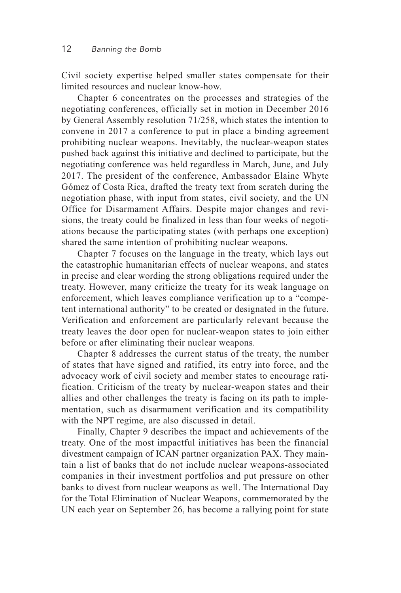Civil society expertise helped smaller states compensate for their limited resources and nuclear know-how.

Chapter 6 concentrates on the processes and strategies of the negotiating conferences, officially set in motion in December 2016 by General Assembly resolution 71/258, which states the intention to convene in 2017 a conference to put in place a binding agreement prohibiting nuclear weapons. Inevitably, the nuclear-weapon states pushed back against this initiative and declined to participate, but the negotiating conference was held regardless in March, June, and July 2017. The president of the conference, Ambassador Elaine Whyte Gómez of Costa Rica, drafted the treaty text from scratch during the negotiation phase, with input from states, civil society, and the UN Office for Disarmament Affairs. Despite major changes and revisions, the treaty could be finalized in less than four weeks of negotiations because the participating states (with perhaps one exception) shared the same intention of prohibiting nuclear weapons.

Chapter 7 focuses on the language in the treaty, which lays out the catastrophic humanitarian effects of nuclear weapons, and states in precise and clear wording the strong obligations required under the treaty. However, many criticize the treaty for its weak language on enforcement, which leaves compliance verification up to a "competent international authority" to be created or designated in the future. Verification and enforcement are particularly relevant because the treaty leaves the door open for nuclear-weapon states to join either before or after eliminating their nuclear weapons.

Chapter 8 addresses the current status of the treaty, the number of states that have signed and ratified, its entry into force, and the advocacy work of civil society and member states to encourage ratification. Criticism of the treaty by nuclear-weapon states and their allies and other challenges the treaty is facing on its path to implementation, such as disarmament verification and its compatibility with the NPT regime, are also discussed in detail.

Finally, Chapter 9 describes the impact and achievements of the treaty. One of the most impactful initiatives has been the financial divestment campaign of ICAN partner organization PAX. They maintain a list of banks that do not include nuclear weapons-associated companies in their investment portfolios and put pressure on other banks to divest from nuclear weapons as well. The International Day for the Total Elimination of Nuclear Weapons, commemorated by the UN each year on September 26, has become a rallying point for state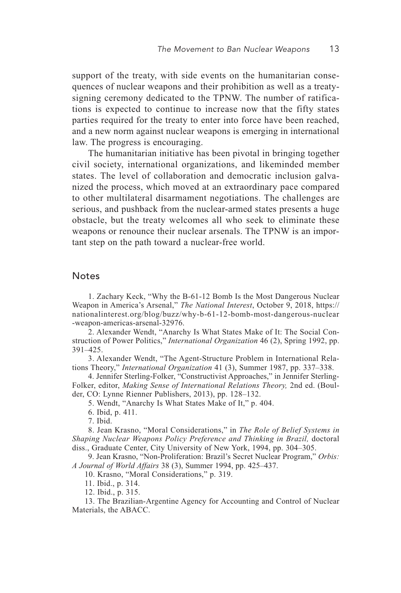support of the treaty, with side events on the humanitarian consequences of nuclear weapons and their prohibition as well as a treatysigning ceremony dedicated to the TPNW. The number of ratifications is expected to continue to increase now that the fifty states parties required for the treaty to enter into force have been reached, and a new norm against nuclear weapons is emerging in international law. The progress is encouraging.

The humanitarian initiative has been pivotal in bringing together civil society, international organizations, and likeminded member states. The level of collaboration and democratic inclusion galvanized the process, which moved at an extraordinary pace compared to other multilateral disarmament negotiations. The challenges are serious, and pushback from the nuclear-armed states presents a huge obstacle, but the treaty welcomes all who seek to eliminate these weapons or renounce their nuclear arsenals. The TPNW is an important step on the path toward a nuclear-free world.

#### **Notes**

1. Zachary Keck, "Why the B-61-12 Bomb Is the Most Dangerous Nuclear Weapon in America's Arsenal," *The National Interest*, October 9, 2018, https:// nationalinterest.org/blog/buzz/why-b-61-12-bomb-most-dangerous-nuclear -weapon-americas-arsenal-32976.

2. Alexander Wendt, "Anarchy Is What States Make of It: The Social Construction of Power Politics," *International Organization* 46 (2), Spring 1992, pp. 391–425.

3. Alexander Wendt, "The Agent-Structure Problem in International Relations Theory," *International Organization* 41 (3), Summer 1987, pp. 337–338.

4. Jennifer Sterling-Folker, "Constructivist Approaches," in Jennifer Sterling-Folker, editor, *Making Sense of International Relations Theory,* 2nd ed. (Boulder, CO: Lynne Rienner Publishers, 2013), pp. 128–132.

5. Wendt, "Anarchy Is What States Make of It," p. 404.

6. Ibid, p. 411.

7. Ibid.

8. Jean Krasno, "Moral Considerations," in *The Role of Belief Systems in Shaping Nuclear Weapons Policy Preference and Thinking in Brazil,* doctoral diss., Graduate Center, City University of New York, 1994, pp. 304–305.

9. Jean Krasno, "Non-Proliferation: Brazil's Secret Nuclear Program," *Orbis: A Journal of World Affairs* 38 (3), Summer 1994, pp. 425–437.

10. Krasno, "Moral Considerations," p. 319.

11. Ibid., p. 314.

12. Ibid., p. 315.

13. The Brazilian-Argentine Agency for Accounting and Control of Nuclear Materials, the ABACC.